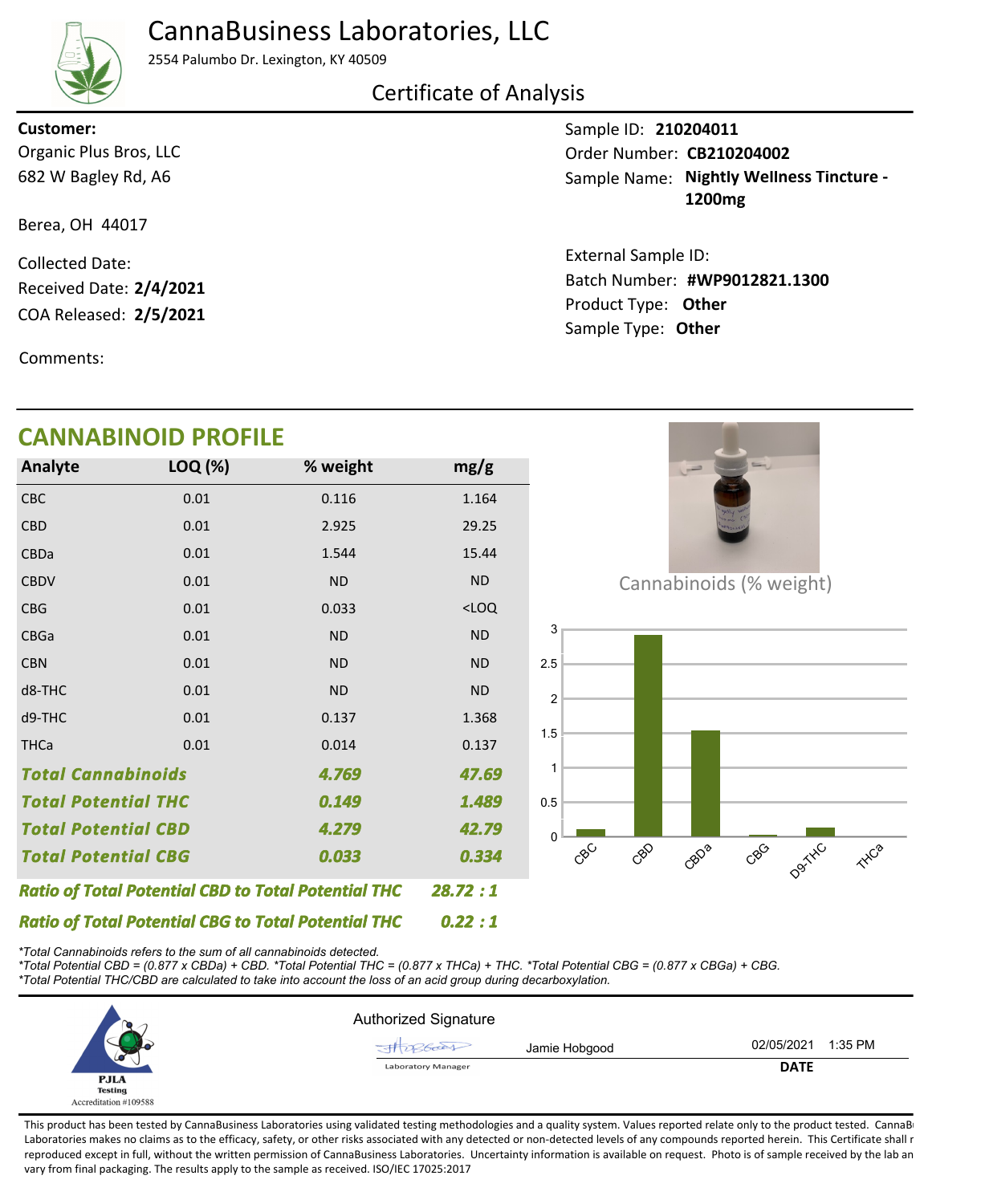## CannaBusiness Laboratories, LLC



2554 Palumbo Dr. Lexington, KY 40509

## Certificate of Analysis

Organic Plus Bros, LLC **Customer:**

682 W Bagley Rd, A6

Berea, OH 44017

COA Released: 2/5/2021 Collected Date: Received Date: **2/4/2021**

Comments:

## **CANNABINOID PROFILE**

| Analyte                                                    | LOQ (%) | % weight  | mg/g      |
|------------------------------------------------------------|---------|-----------|-----------|
| CBC                                                        | 0.01    | 0.116     | 1.164     |
| <b>CBD</b>                                                 | 0.01    | 2.925     | 29.25     |
| CBDa                                                       | 0.01    | 1.544     | 15.44     |
| <b>CBDV</b>                                                | 0.01    | <b>ND</b> | <b>ND</b> |
| <b>CBG</b>                                                 | 0.01    | 0.033     | $<$ LOQ   |
| <b>CBGa</b>                                                | 0.01    | <b>ND</b> | <b>ND</b> |
| <b>CBN</b>                                                 | 0.01    | <b>ND</b> | <b>ND</b> |
| d8-THC                                                     | 0.01    | <b>ND</b> | <b>ND</b> |
| d9-THC                                                     | 0.01    | 0.137     | 1.368     |
| <b>THCa</b>                                                | 0.01    | 0.014     | 0.137     |
| <b>Total Cannabinoids</b><br>4.769                         |         |           | 47.69     |
| <b>Total Potential THC</b>                                 |         | 0.149     | 1.489     |
| <b>Total Potential CBD</b>                                 |         | 4.279     | 42.79     |
| <b>Total Potential CBG</b><br>0.033                        |         | 0.334     |           |
| <b>Ratio of Total Potential CBD to Total Potential THC</b> |         |           | 28.72:1   |

Cannabinoids (% weight)



*\*Total Cannabinoids refers to the sum of all cannabinoids detected.*

*Ratio of Total Potential CBG to Total Potential THC*

*\*Total Potential CBD = (0.877 x CBDa) + CBD. \*Total Potential THC = (0.877 x THCa) + THC. \*Total Potential CBG = (0.877 x CBGa) + CBG. \*Total Potential THC/CBD are calculated to take into account the loss of an acid group during decarboxylation.*



*0.22 : 1*

This product has been tested by CannaBusiness Laboratories using validated testing methodologies and a quality system. Values reported relate only to the product tested. CannaB Laboratories makes no claims as to the efficacy, safety, or other risks associated with any detected or non-detected levels of any compounds reported herein. This Certificate shall r reproduced except in full, without the written permission of CannaBusiness Laboratories. Uncertainty information is available on request. Photo is of sample received by the lab an vary from final packaging. The results apply to the sample as received. ISO/IEC 17025:2017

Sample ID: **210204011**

Sample Name: Nightly Wellness Tincture -**1200mg** Order Number: CB210204002

Product Type: **Other 2/5/2021 #WP9012821.1300** Batch Number: External Sample ID: Sample Type: **Other**